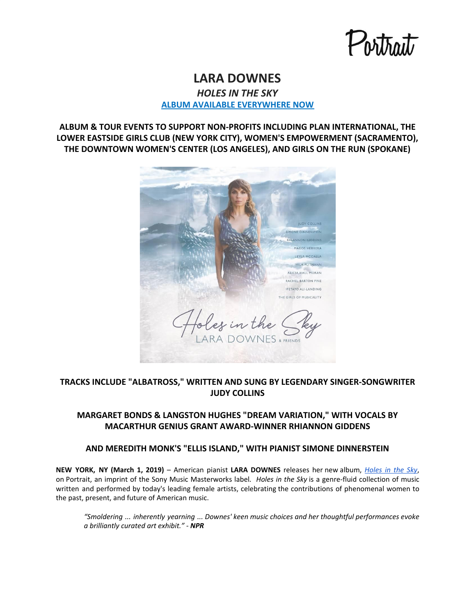## **LARA DOWNES** *HOLES IN THE SKY*

**[ALBUM AVAILABLE EVERYWHERE NOW](https://laradownes.lnk.to/HolesInTheSkyPR)**

**ALBUM & TOUR EVENTS TO SUPPORT NON-PROFITS INCLUDING PLAN INTERNATIONAL, THE LOWER EASTSIDE GIRLS CLUB (NEW YORK CITY), WOMEN'S EMPOWERMENT (SACRAMENTO), THE DOWNTOWN WOMEN'S CENTER (LOS ANGELES), AND GIRLS ON THE RUN (SPOKANE)**



## **TRACKS INCLUDE "ALBATROSS," WRITTEN AND SUNG BY LEGENDARY SINGER-SONGWRITER JUDY COLLINS**

### **MARGARET BONDS & LANGSTON HUGHES "DREAM VARIATION," WITH VOCALS BY MACARTHUR GENIUS GRANT AWARD-WINNER RHIANNON GIDDENS**

### **AND MEREDITH MONK'S "ELLIS ISLAND," WITH PIANIST SIMONE DINNERSTEIN**

**NEW YORK, NY (March 1, 2019)** – American pianist **LARA DOWNES** releases her new album, *[Holes](https://laradownes.lnk.to/HolesInTheSkyPR) in the Sky*, on Portrait, an imprint of the Sony Music Masterworks label*. Holes in the Sky* is a genre-fluid collection of music written and performed by today's leading female artists, celebrating the contributions of phenomenal women to the past, present, and future of American music.

*"Smoldering ... inherently yearning ... Downes' keen music choices and her thoughtful performances evoke a brilliantly curated art exhibit." - NPR*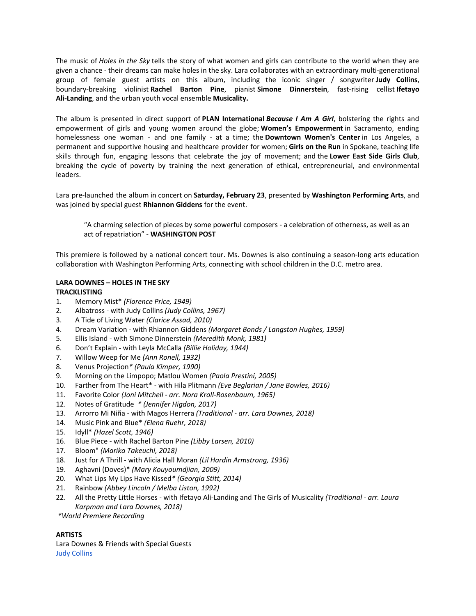The music of *Holes in the Sky* tells the story of what women and girls can contribute to the world when they are given a chance - their dreams can make holes in the sky. Lara collaborates with an extraordinary multi-generational group of female guest artists on this album, including the iconic singer / songwriter **Judy Collins**, boundary-breaking violinist **Rachel Barton Pine**, pianist **Simone Dinnerstein**, fast-rising cellist **Ifetayo Ali-Landing**, and the urban youth vocal ensemble **Musicality.**

The album is presented in direct support of **PLAN International** *Because I Am A Girl*, bolstering the rights and empowerment of girls and young women around the globe; **Women's Empowerment** in Sacramento, ending homelessness one woman - and one family - at a time; the **Downtown Women's Center** in Los Angeles, a permanent and supportive housing and healthcare provider for women; **Girls on the Run** in Spokane, teaching life skills through fun, engaging lessons that celebrate the joy of movement; and the **Lower East Side Girls Club**, breaking the cycle of poverty by training the next generation of ethical, entrepreneurial, and environmental leaders.

Lara pre-launched the album in concert on **Saturday, February 23**, presented by **Washington Performing Arts**, and was joined by special guest **Rhiannon Giddens** for the event.

"A charming selection of pieces by some powerful composers - a celebration of otherness, as well as an act of repatriation" - **WASHINGTON POST**

This premiere is followed by a national concert tour. Ms. Downes is also continuing a season-long arts education collaboration with Washington Performing Arts, connecting with school children in the D.C. metro area.

### **LARA DOWNES – HOLES IN THE SKY TRACKLISTING**

- 1. Memory Mist\* *(Florence Price, 1949)*
- 2. Albatross with Judy Collins *(Judy Collins, 1967)*
- 3. A Tide of Living Water *(Clarice Assad, 2010)*
- 4. Dream Variation with Rhiannon Giddens *(Margaret Bonds / Langston Hughes, 1959)*
- 5. Ellis Island with Simone Dinnerstein *(Meredith Monk, 1981)*
- 6. Don't Explain with Leyla McCalla *(Billie Holiday, 1944)*
- 7. Willow Weep for Me *(Ann Ronell, 1932)*
- 8. Venus Projection*\* (Paula Kimper, 1990)*
- 9. Morning on the Limpopo; Matlou Women *(Paola Prestini, 2005)*
- 10. Farther from The Heart\* with Hila Plitmann *(Eve Beglarian / Jane Bowles, 2016)*
- 11. Favorite Color *(Joni Mitchell - arr. Nora Kroll-Rosenbaum, 1965)*
- 12. Notes of Gratitude *\* (Jennifer Higdon, 2017)*
- 13. Arrorro Mi Niña with Magos Herrera *(Traditional - arr. Lara Downes, 2018)*
- 14. Music Pink and Blue\* *(Elena Ruehr, 2018)*
- 15. Idyll\* *(Hazel Scott, 1946)*
- 16. Blue Piece with Rachel Barton Pine *(Libby Larsen, 2010)*
- 17. Bloom" *(Marika Takeuchi, 2018)*
- 18. Just for A Thrill with Alicia Hall Moran *(Lil Hardin Armstrong, 1936)*
- 19. Aghavni (Doves)\* *(Mary Kouyoumdjian, 2009)*
- 20. What Lips My Lips Have Kissed*\* (Georgia Stitt, 2014)*
- 21. Rainbow *(Abbey Lincoln / Melba Liston, 1992)*
- 22. All the Pretty Little Horses with Ifetayo Ali-Landing and The Girls of Musicality *(Traditional - arr. Laura Karpman and Lara Downes, 2018)*

*\*World Premiere Recording*

### **ARTISTS**

Lara Downes & Friends with Special Guests Judy [Collins](https://emea01.safelinks.protection.outlook.com/?url=http%3A%2F%2Fwww.judycollins.com%2F&data=02%7C01%7CLarissa.Slezak%40sonymusic.com%7C3095ffee950a42d9b16f08d69bf99b38%7Cf0aff3b791a54aaeaf71c63e1dda2049%7C0%7C0%7C636867893698774923&sdata=Y4%2B%2FVtVrvUloj%2BuLFPyBQczLz9dAzBuz6ToBl3vMnyo%3D&reserved=0)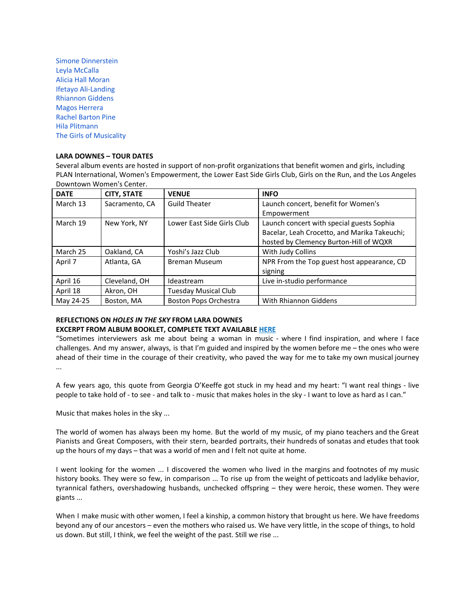Simone [Dinnerstein](https://emea01.safelinks.protection.outlook.com/?url=http%3A%2F%2Fwww.simonedinnerstein.com%2F&data=02%7C01%7CLarissa.Slezak%40sonymusic.com%7C3095ffee950a42d9b16f08d69bf99b38%7Cf0aff3b791a54aaeaf71c63e1dda2049%7C0%7C0%7C636867893698784928&sdata=Ig36K7cnhsSrMFCOcTJsyQtTPAfjOfoG4kpiwrkaO%2Fk%3D&reserved=0) Leyla [McCalla](https://emea01.safelinks.protection.outlook.com/?url=https%3A%2F%2Fleylamccalla.com%2F&data=02%7C01%7CLarissa.Slezak%40sonymusic.com%7C3095ffee950a42d9b16f08d69bf99b38%7Cf0aff3b791a54aaeaf71c63e1dda2049%7C0%7C0%7C636867893698794933&sdata=XlADCvjBcADkNpSrQXoWeu7M%2FPG5lxzMN5%2FYG4C%2Fbhs%3D&reserved=0) Alicia Hall [Moran](https://emea01.safelinks.protection.outlook.com/?url=http%3A%2F%2Fwww.aliciahallmoran.com%2F&data=02%7C01%7CLarissa.Slezak%40sonymusic.com%7C3095ffee950a42d9b16f08d69bf99b38%7Cf0aff3b791a54aaeaf71c63e1dda2049%7C0%7C0%7C636867893698794933&sdata=Lz%2FuJKJdKTEpj0S8zSQ7XP7o1phEIqA4ygRNPTob1sA%3D&reserved=0) Ifetayo [Ali-Landing](https://emea01.safelinks.protection.outlook.com/?url=http%3A%2F%2Fwww.sphinxmusic.org%2Fbio-ifetayo-ali%2F&data=02%7C01%7CLarissa.Slezak%40sonymusic.com%7C3095ffee950a42d9b16f08d69bf99b38%7Cf0aff3b791a54aaeaf71c63e1dda2049%7C0%7C0%7C636867893698804938&sdata=d6uDOia4EFxJAtfypqRv%2F7mhbUHcxLoYqufVSgtBHw8%3D&reserved=0) [Rhiannon](https://emea01.safelinks.protection.outlook.com/?url=http%3A%2F%2Fwww.rhiannongiddens.com%2F&data=02%7C01%7CLarissa.Slezak%40sonymusic.com%7C3095ffee950a42d9b16f08d69bf99b38%7Cf0aff3b791a54aaeaf71c63e1dda2049%7C0%7C0%7C636867893698804938&sdata=IYkFYU3%2B3M%2F8ExFeYaSVjpVoL0hw3l2SVTuWKfcqB1M%3D&reserved=0) Giddens Magos [Herrera](https://emea01.safelinks.protection.outlook.com/?url=http%3A%2F%2Fwww.magosherrera.com%2F&data=02%7C01%7CLarissa.Slezak%40sonymusic.com%7C3095ffee950a42d9b16f08d69bf99b38%7Cf0aff3b791a54aaeaf71c63e1dda2049%7C0%7C0%7C636867893698814952&sdata=LiigABeAow%2BeWE3EEeOOijKMheV0Lhv8TdaWdie8IPA%3D&reserved=0) Rachel [Barton](https://emea01.safelinks.protection.outlook.com/?url=https%3A%2F%2Frachelbartonpine.com%2F&data=02%7C01%7CLarissa.Slezak%40sonymusic.com%7C3095ffee950a42d9b16f08d69bf99b38%7Cf0aff3b791a54aaeaf71c63e1dda2049%7C0%7C0%7C636867893698814952&sdata=cWpqSTpIRUNBJz3Cl81uSTED9rpfGiD6xOyQh0gy1kw%3D&reserved=0) Pine Hila [Plitmann](https://emea01.safelinks.protection.outlook.com/?url=https%3A%2F%2Fhilaplitmann.com%2F&data=02%7C01%7CLarissa.Slezak%40sonymusic.com%7C3095ffee950a42d9b16f08d69bf99b38%7Cf0aff3b791a54aaeaf71c63e1dda2049%7C0%7C0%7C636867893698824957&sdata=g%2BOF0lDQolW1fypY8GXQocUUWUcgo5a%2FGDQbrGNrPMk%3D&reserved=0) The Girls of [Musicality](https://emea01.safelinks.protection.outlook.com/?url=https%3A%2F%2Fwww.musicalityvocal.com%2F&data=02%7C01%7CLarissa.Slezak%40sonymusic.com%7C3095ffee950a42d9b16f08d69bf99b38%7Cf0aff3b791a54aaeaf71c63e1dda2049%7C0%7C0%7C636867893698824957&sdata=dejxvyH6slOfRxIDHCfB4UVPnt03ujl2mdIna%2FvLGDk%3D&reserved=0)

### **LARA DOWNES – TOUR DATES**

Several album events are hosted in support of non-profit organizations that benefit women and girls, including PLAN International, Women's Empowerment, the Lower East Side Girls Club, Girls on the Run, and the Los Angeles Downtown Women's Center.

| <b>DATE</b> | <b>CITY, STATE</b> | <b>VENUE</b>                | <b>INFO</b>                                  |
|-------------|--------------------|-----------------------------|----------------------------------------------|
| March 13    | Sacramento, CA     | <b>Guild Theater</b>        | Launch concert, benefit for Women's          |
|             |                    |                             | Empowerment                                  |
| March 19    | New York, NY       | Lower East Side Girls Club  | Launch concert with special guests Sophia    |
|             |                    |                             | Bacelar, Leah Crocetto, and Marika Takeuchi; |
|             |                    |                             | hosted by Clemency Burton-Hill of WQXR       |
| March 25    | Oakland, CA        | Yoshi's Jazz Club           | With Judy Collins                            |
| April 7     | Atlanta, GA        | <b>Breman Museum</b>        | NPR From the Top guest host appearance, CD   |
|             |                    |                             | signing                                      |
| April 16    | Cleveland, OH      | Ideastream                  | Live in-studio performance                   |
| April 18    | Akron, OH          | <b>Tuesday Musical Club</b> |                                              |
| May 24-25   | Boston, MA         | Boston Pops Orchestra       | With Rhiannon Giddens                        |

## **REFLECTIONS ON** *HOLES IN THE SKY* **FROM LARA DOWNES**

# **EXCERPT FROM ALBUM BOOKLET, COMPLETE TEXT AVAILABLE [HERE](https://emea01.safelinks.protection.outlook.com/?url=https%3A%2F%2Fwww.dropbox.com%2Fsh%2F2zgrd8wbiq33e08%2FAABk4B7jcJP2eQRRPW93P0nDa%3Fdl%3D0&data=02%7C01%7CLarissa.Slezak%40sonymusic.com%7C3095ffee950a42d9b16f08d69bf99b38%7Cf0aff3b791a54aaeaf71c63e1dda2049%7C0%7C0%7C636867893698834961&sdata=zuLHGnlbKRKS8v97iW0%2F6Z48G4mUtxalGGLIJgEuBE0%3D&reserved=0)**

"Sometimes interviewers ask me about being a woman in music - where I find inspiration, and where I face challenges. And my answer, always, is that I'm guided and inspired by the women before me – the ones who were ahead of their time in the courage of their creativity, who paved the way for me to take my own musical journey ...

A few years ago, this quote from Georgia O'Keeffe got stuck in my head and my heart: "I want real things - live people to take hold of - to see - and talk to - music that makes holes in the sky - I want to love as hard as I can."

Music that makes holes in the sky ...

The world of women has always been my home. But the world of my music, of my piano teachers and the Great Pianists and Great Composers, with their stern, bearded portraits, their hundreds of sonatas and etudes that took up the hours of my days – that was a world of men and I felt not quite at home.

I went looking for the women ... I discovered the women who lived in the margins and footnotes of my music history books. They were so few, in comparison ... To rise up from the weight of petticoats and ladylike behavior, tyrannical fathers, overshadowing husbands, unchecked offspring – they were heroic, these women. They were giants ...

When I make music with other women, I feel a kinship, a common history that brought us here. We have freedoms beyond any of our ancestors – even the mothers who raised us. We have very little, in the scope of things, to hold us down. But still, I think, we feel the weight of the past. Still we rise ...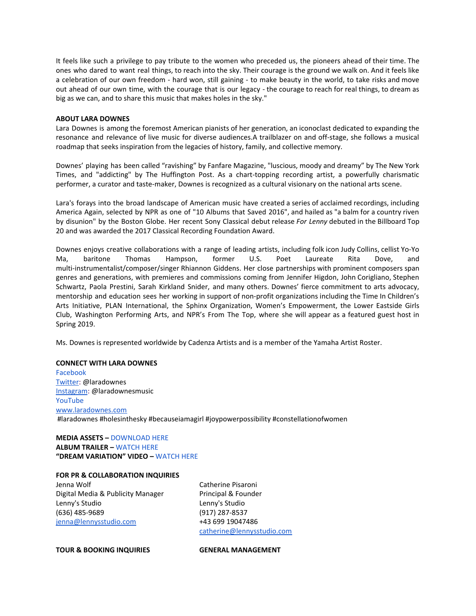It feels like such a privilege to pay tribute to the women who preceded us, the pioneers ahead of their time. The ones who dared to want real things, to reach into the sky. Their courage is the ground we walk on. And it feels like a celebration of our own freedom - hard won, still gaining - to make beauty in the world, to take risks and move out ahead of our own time, with the courage that is our legacy - the courage to reach for real things, to dream as big as we can, and to share this music that makes holes in the sky."

### **ABOUT LARA DOWNES**

Lara Downes is among the foremost American pianists of her generation, an iconoclast dedicated to expanding the resonance and relevance of live music for diverse audiences.A trailblazer on and off-stage, she follows a musical roadmap that seeks inspiration from the legacies of history, family, and collective memory.

Downes' playing has been called "ravishing" by Fanfare Magazine, "luscious, moody and dreamy" by The New York Times, and "addicting" by The Huffington Post. As a chart-topping recording artist, a powerfully charismatic performer, a curator and taste-maker, Downes is recognized as a cultural visionary on the national arts scene.

Lara's forays into the broad landscape of American music have created a series of acclaimed recordings, including America Again, selected by NPR as one of "10 Albums that Saved 2016", and hailed as "a balm for a country riven by disunion" by the Boston Globe. Her recent Sony Classical debut release *For Lenny* debuted in the Billboard Top 20 and was awarded the 2017 Classical Recording Foundation Award.

Downes enjoys creative collaborations with a range of leading artists, including folk icon Judy Collins, cellist Yo-Yo Ma, baritone Thomas Hampson, former U.S. Poet Laureate Rita Dove, and multi-instrumentalist/composer/singer Rhiannon Giddens. Her close partnerships with prominent composers span genres and generations, with premieres and commissions coming from Jennifer Higdon, John Corigliano, Stephen Schwartz, Paola Prestini, Sarah Kirkland Snider, and many others. Downes' fierce commitment to arts advocacy, mentorship and education sees her working in support of non-profit organizations including the Time In Children's Arts Initiative, PLAN International, the Sphinx Organization, Women's Empowerment, the Lower Eastside Girls Club, Washington Performing Arts, and NPR's From The Top, where she will appear as a featured guest host in Spring 2019.

Ms. Downes is represented worldwide by Cadenza Artists and is a member of the Yamaha Artist Roster.

### **CONNECT WITH LARA DOWNES**

[Facebook](https://emea01.safelinks.protection.outlook.com/?url=https%3A%2F%2Fwww.facebook.com%2Flara.downes%2F&data=02%7C01%7CLarissa.Slezak%40sonymusic.com%7C3095ffee950a42d9b16f08d69bf99b38%7Cf0aff3b791a54aaeaf71c63e1dda2049%7C0%7C0%7C636867893698754904&sdata=pqftUw3wQQKeOFlKnQsIXaqgiXF71hE4u0SPkt123CU%3D&reserved=0) [Twitter](https://emea01.safelinks.protection.outlook.com/?url=https%3A%2F%2Ftwitter.com%2Flaradownes&data=02%7C01%7CLarissa.Slezak%40sonymusic.com%7C3095ffee950a42d9b16f08d69bf99b38%7Cf0aff3b791a54aaeaf71c63e1dda2049%7C0%7C0%7C636867893698764913&sdata=qSP38aN8p8cM%2BAFqMiCg1VgEcugmEGGdZ5hz6FKIhHE%3D&reserved=0): @laradownes [Instagram](https://emea01.safelinks.protection.outlook.com/?url=https%3A%2F%2Fwww.instagram.com%2Flaradownes88%2F&data=02%7C01%7CLarissa.Slezak%40sonymusic.com%7C3095ffee950a42d9b16f08d69bf99b38%7Cf0aff3b791a54aaeaf71c63e1dda2049%7C0%7C0%7C636867893698764913&sdata=kQCvXzZPnARxWfINxAAQMrq7Tr9kk15uWP2OcAh6WzU%3D&reserved=0): @laradownesmusic [YouTube](https://emea01.safelinks.protection.outlook.com/?url=https%3A%2F%2Fwww.youtube.com%2Fuser%2Flaradownes&data=02%7C01%7CLarissa.Slezak%40sonymusic.com%7C3095ffee950a42d9b16f08d69bf99b38%7Cf0aff3b791a54aaeaf71c63e1dda2049%7C0%7C0%7C636867893698774923&sdata=F3QQlrNN%2BpKMNfq%2Fr5AjYIO5wxNmaL%2Fka%2FPeypfrLAY%3D&reserved=0) [www.laradownes.com](http://www.laradownes.com/) #laradownes #holesinthesky #becauseiamagirl #joypowerpossibility #constellationofwomen

**MEDIA ASSETS –** [DOWNLOAD](https://emea01.safelinks.protection.outlook.com/?url=https%3A%2F%2Fwww.dropbox.com%2Fsh%2F2zgrd8wbiq33e08%2FAABk4B7jcJP2eQRRPW93P0nDa%3Fdl%3D0&data=02%7C01%7CLarissa.Slezak%40sonymusic.com%7C3095ffee950a42d9b16f08d69bf99b38%7Cf0aff3b791a54aaeaf71c63e1dda2049%7C0%7C0%7C636867893698734890&sdata=JIFAKxfpexLtHUoH8hdZx7VWDTX2ZT4mPRfHVqYJaPY%3D&reserved=0) HERE **ALBUM TRAILER –** [WATCH](https://emea01.safelinks.protection.outlook.com/?url=https%3A%2F%2Fwww.youtube.com%2Fwatch%3Fv%3D0MkrJf54HR0%26feature%3Dyoutu.be&data=02%7C01%7CLarissa.Slezak%40sonymusic.com%7C3095ffee950a42d9b16f08d69bf99b38%7Cf0aff3b791a54aaeaf71c63e1dda2049%7C0%7C0%7C636867893698744895&sdata=1edPGnilEXKTTFZpIE5cC6wRdFHJvogUGMgtfKpjYT4%3D&reserved=0) HERE **"DREAM VARIATION" VIDEO –** [WATCH](https://emea01.safelinks.protection.outlook.com/?url=https%3A%2F%2Fwww.youtube.com%2Fwatch%3Fv%3DyME4Xf12VdY%26feature%3Dyoutu.be&data=02%7C01%7CLarissa.Slezak%40sonymusic.com%7C3095ffee950a42d9b16f08d69bf99b38%7Cf0aff3b791a54aaeaf71c63e1dda2049%7C0%7C0%7C636867893698754904&sdata=M6NbBkERL42%2Bv07iQu4qG4eiAQUNNAW0LXR%2B7K3Qw%2FU%3D&reserved=0) HERE

#### **FOR PR & COLLABORATION INQUIRIES**

Jenna Wolf Digital Media & Publicity Manager Lenny's Studio (636) 485-9689 [jenna@lennysstudio.com](mailto:jenna@lennysstudio.com)

Catherine Pisaroni Principal & Founder Lenny's Studio (917) 287-8537 +43 699 19047486 [catherine@lennysstudio.com](mailto:catherine@lennysstudio.com)

**TOUR & BOOKING INQUIRIES GENERAL MANAGEMENT**